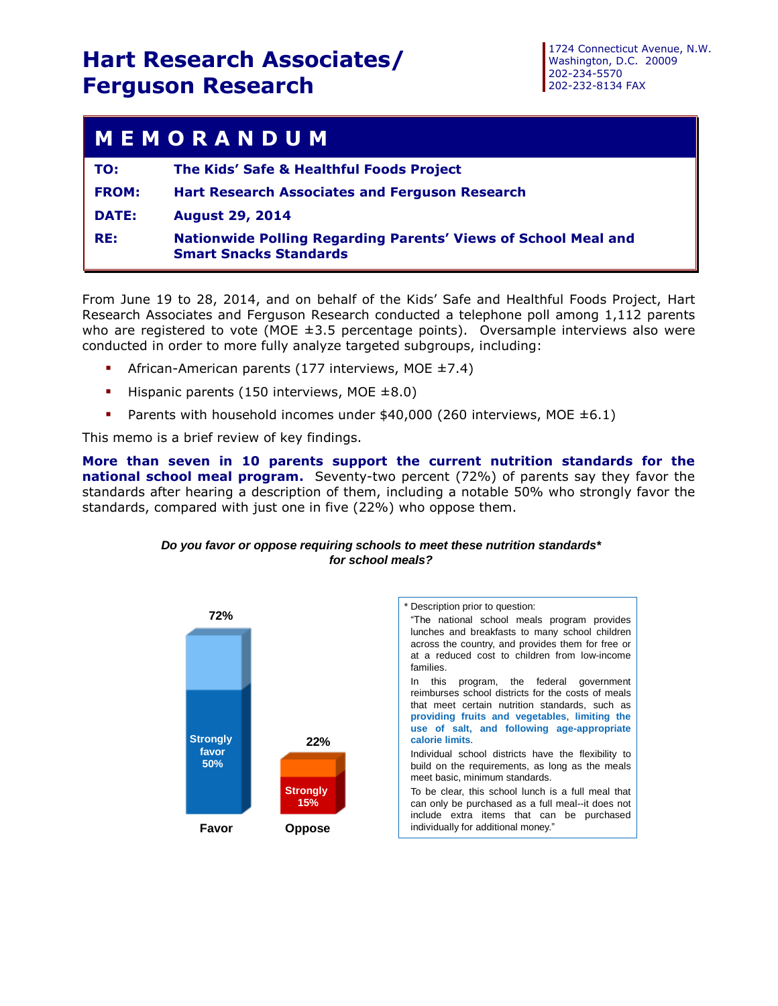## **Hart Research Associates/ Ferguson Research**

## **M E M O R A N D U M**

| TO:          | The Kids' Safe & Healthful Foods Project                                                               |
|--------------|--------------------------------------------------------------------------------------------------------|
| <b>FROM:</b> | <b>Hart Research Associates and Ferguson Research</b>                                                  |
| <b>DATE:</b> | <b>August 29, 2014</b>                                                                                 |
| RE:          | <b>Nationwide Polling Regarding Parents' Views of School Meal and</b><br><b>Smart Snacks Standards</b> |

From June 19 to 28, 2014, and on behalf of the Kids' Safe and Healthful Foods Project, Hart Research Associates and Ferguson Research conducted a telephone poll among 1,112 parents who are registered to vote (MOE  $\pm 3.5$  percentage points). Oversample interviews also were conducted in order to more fully analyze targeted subgroups, including:

- African-American parents (177 interviews, MOE ±7.4)
- Hispanic parents (150 interviews, MOE  $\pm 8.0$ )
- Parents with household incomes under  $$40,000$  (260 interviews, MOE  $\pm 6.1$ )

This memo is a brief review of key findings.

**More than seven in 10 parents support the current nutrition standards for the national school meal program.** Seventy-two percent (72%) of parents say they favor the standards after hearing a description of them, including a notable 50% who strongly favor the standards, compared with just one in five (22%) who oppose them.



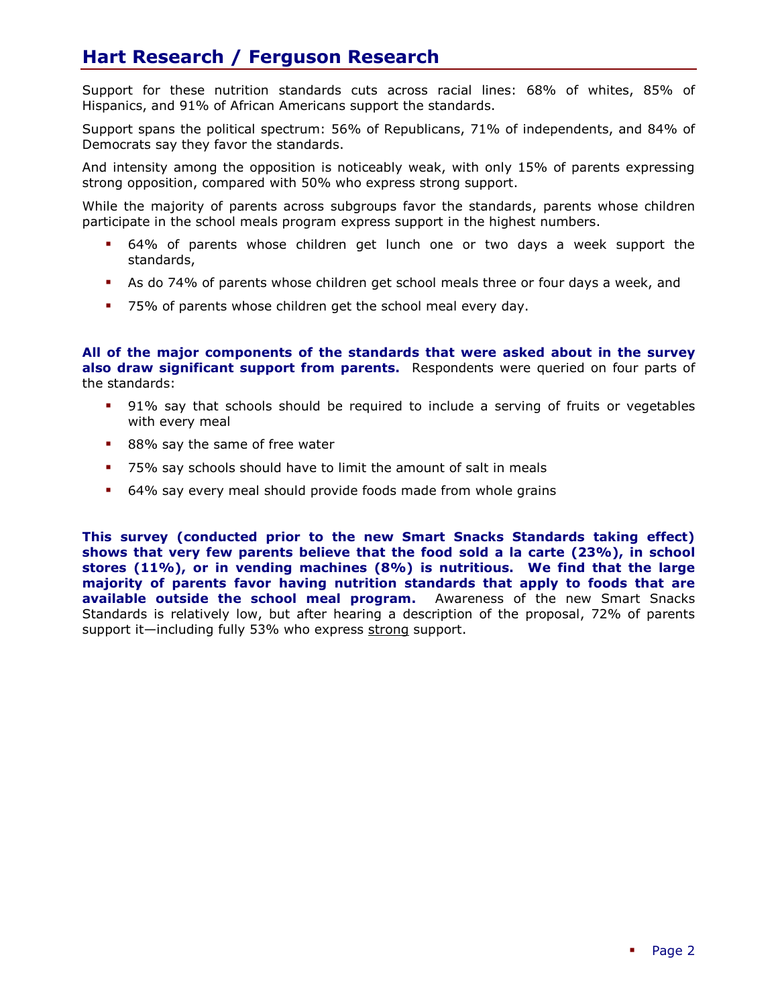## **Hart Research / Ferguson Research**

Support for these nutrition standards cuts across racial lines: 68% of whites, 85% of Hispanics, and 91% of African Americans support the standards.

Support spans the political spectrum: 56% of Republicans, 71% of independents, and 84% of Democrats say they favor the standards.

And intensity among the opposition is noticeably weak, with only 15% of parents expressing strong opposition, compared with 50% who express strong support.

While the majority of parents across subgroups favor the standards, parents whose children participate in the school meals program express support in the highest numbers.

- 64% of parents whose children get lunch one or two days a week support the standards,
- As do 74% of parents whose children get school meals three or four days a week, and
- 75% of parents whose children get the school meal every day.

**All of the major components of the standards that were asked about in the survey also draw significant support from parents.** Respondents were queried on four parts of the standards:

- 91% say that schools should be required to include a serving of fruits or vegetables with every meal
- 88% say the same of free water
- 75% say schools should have to limit the amount of salt in meals
- 64% say every meal should provide foods made from whole grains

**This survey (conducted prior to the new Smart Snacks Standards taking effect) shows that very few parents believe that the food sold a la carte (23%), in school stores (11%), or in vending machines (8%) is nutritious. We find that the large majority of parents favor having nutrition standards that apply to foods that are available outside the school meal program.** Awareness of the new Smart Snacks Standards is relatively low, but after hearing a description of the proposal, 72% of parents support it-including fully 53% who express strong support.